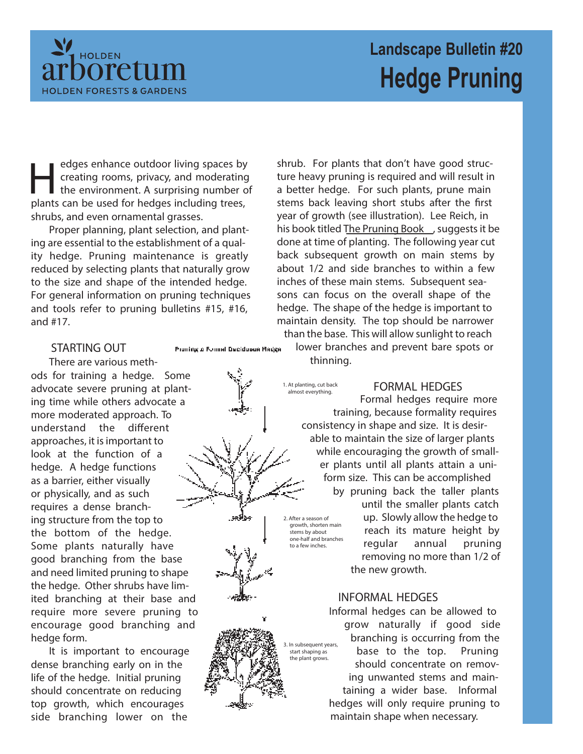

# **Landscape Bulletin #20 Hedge Pruning**

edges enhance outdoor living spaces by<br>creating rooms, privacy, and moderating<br>the environment. A surprising number of<br>plants can be used for hedges including trees, edges enhance outdoor living spaces by creating rooms, privacy, and moderating the environment. A surprising number of shrubs, and even ornamental grasses.

Proper planning, plant selection, and planting are essential to the establishment of a quality hedge. Pruning maintenance is greatly reduced by selecting plants that naturally grow to the size and shape of the intended hedge. For general information on pruning techniques and tools refer to pruning bulletins #15, #16, and #17.

### **STARTING OUT**

There are various methods for training a hedge. Some advocate severe pruning at planting time while others advocate a more moderated approach. To understand the different approaches, it is important to look at the function of a hedge. A hedge functions as a barrier, either visually or physically, and as such requires a dense branching structure from the top to the bottom of the hedge. Some plants naturally have good branching from the base and need limited pruning to shape the hedge. Other shrubs have limited branching at their base and require more severe pruning to encourage good branching and hedge form.

It is important to encourage dense branching early on in the life of the hedge. Initial pruning should concentrate on reducing top growth, which encourages side branching lower on the

Proming o Formal Deciduous Radge

shrub. For plants that don't have good structure heavy pruning is required and will result in a better hedge. For such plants, prune main stems back leaving short stubs after the first year of growth (see illustration). Lee Reich, in his book titled The Pruning Book , suggests it be done at time of planting. The following year cut back subsequent growth on main stems by about 1/2 and side branches to within a few inches of these main stems. Subsequent seasons can focus on the overall shape of the hedge. The shape of the hedge is important to maintain density. The top should be narrower than the base. This will allow sunlight to reach

lower branches and prevent bare spots or thinning.

1. At planting, cut back almost everything.

# **FORMAL HEDGES**

Formal hedges require more training, because formality requires consistency in shape and size. It is desirable to maintain the size of larger plants while encouraging the growth of smaller plants until all plants attain a uniform size. This can be accomplished by pruning back the taller plants until the smaller plants catch up. Slowly allow the hedge to reach its mature height by regular annual pruning removing no more than 1/2 of the new growth. 2. After a season of growth, shorten main stems by about one-half and branches to a few inches.

# **INFORMAL HEDGES**

Informal hedges can be allowed to grow naturally if good side branching is occurring from the base to the top. Pruning should concentrate on removing unwanted stems and maintaining a wider base. Informal hedges will only require pruning to maintain shape when necessary.